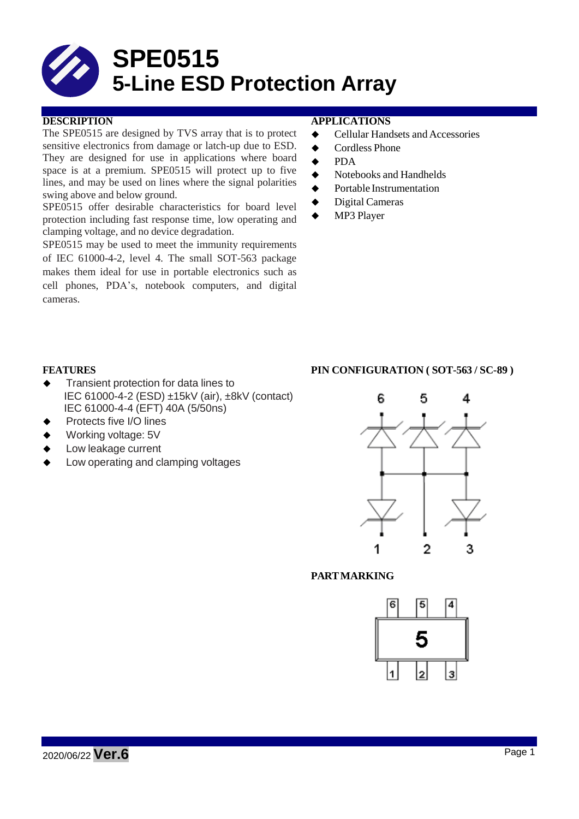

The SPE0515 are designed by TVS array that is to protect sensitive electronics from damage or latch-up due to ESD. They are designed for use in applications where board space is at a premium. SPE0515 will protect up to five lines, and may be used on lines where the signal polarities swing above and below ground.

SPE0515 offer desirable characteristics for board level protection including fast response time, low operating and clamping voltage, and no device degradation.

SPE0515 may be used to meet the immunity requirements of IEC 61000-4-2, level 4. The small SOT-563 package makes them ideal for use in portable electronics such as cell phones, PDA's, notebook computers, and digital cameras.

## **DESCRIPTION APPLICATIONS**

- ◆ Cellular Handsets and Accessories
- ◆ Cordless Phone
- $\triangle$  PDA
- $\blacklozenge$  Notebooks and Handhelds
- **◆** Portable Instrumentation
- ◆ Digital Cameras
- ◆ MP3 Player

- Transient protection for data lines to IEC 61000-4-2 (ESD) ±15kV (air), ±8kV (contact) IEC 61000-4-4 (EFT) 40A (5/50ns)
- Protects five I/O lines
- Working voltage: 5V
- Low leakage current
- Low operating and clamping voltages

## **FEATURES PIN CONFIGURATION ( SOT-563 / SC-89 )**



## **PARTMARKING**

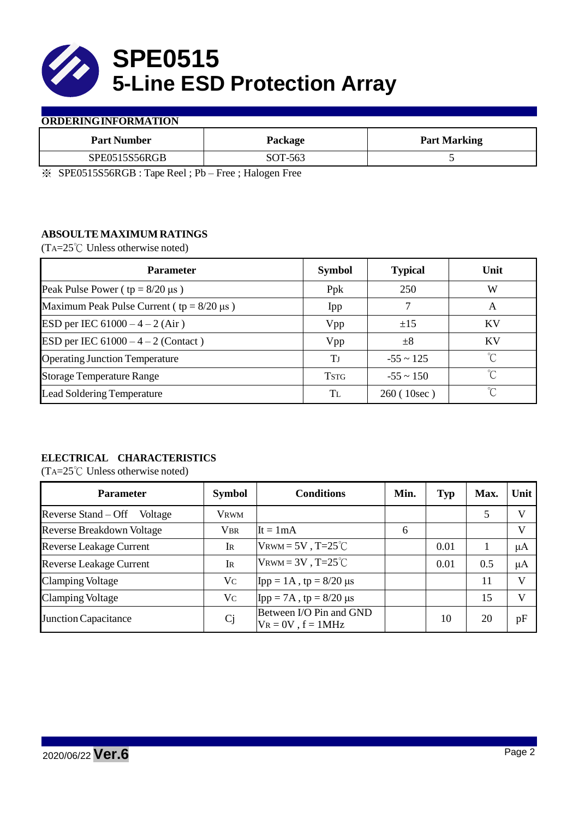

## **ORDERINGINFORMATION**

| <b>Part Number</b> | Package | <b>Part Marking</b> |
|--------------------|---------|---------------------|
| SPE0515S56RGB      | SOT-563 |                     |

※ SPE0515S56RGB : Tape Reel ; Pb – Free ; Halogen Free

# **ABSOULTE MAXIMUM RATINGS**

(TA=25℃ Unless otherwise noted)

| <b>Parameter</b>                                 | <b>Symbol</b> | <b>Typical</b> | Unit         |
|--------------------------------------------------|---------------|----------------|--------------|
| Peak Pulse Power ( $tp = 8/20 \mu s$ )           | Ppk           | 250            | W            |
| Maximum Peak Pulse Current ( $tp = 8/20 \mu s$ ) | Ipp           |                | A            |
| ESD per IEC $61000 - 4 - 2$ (Air)                | Vpp           | ±15            | <b>KV</b>    |
| ESD per IEC $61000 - 4 - 2$ (Contact)            | Vpp           | $\pm 8$        | <b>KV</b>    |
| <b>Operating Junction Temperature</b>            | Tј            | $-55 \sim 125$ | °C           |
| <b>Storage Temperature Range</b>                 | <b>TSTG</b>   | $-55 \sim 150$ | $^{\circ}$ C |
| <b>Lead Soldering Temperature</b>                | Tī.           | 260(10sec)     | $^{\circ}C$  |

# **ELECTRICAL CHARACTERISTICS**

(TA=25℃ Unless otherwise noted)

| <b>Parameter</b>                 | <b>Symbol</b>  | <b>Conditions</b>                                  | Min. | <b>Typ</b> | Max. | Unit         |
|----------------------------------|----------------|----------------------------------------------------|------|------------|------|--------------|
| Reverse Stand – Off<br>Voltage   | Vrwm           |                                                    |      |            | 5    | V            |
| <b>Reverse Breakdown Voltage</b> | <b>VBR</b>     | $It = 1mA$                                         | 6    |            |      | V            |
| <b>Reverse Leakage Current</b>   | IR             | $V_{\text{RWM}} = 5V$ , T=25 <sup>°</sup> C        |      | 0.01       |      | $\mu A$      |
| <b>Reverse Leakage Current</b>   | $\rm I\!R$     | $V_{\text{RWM}} = 3V$ , T=25 <sup>°</sup> C        |      | 0.01       | 0.5  | $\mu A$      |
| <b>Clamping Voltage</b>          | V <sub>C</sub> | $\text{Ipp} = 1 \text{A}$ , tp = 8/20 µs           |      |            | 11   | $\mathbf{V}$ |
| <b>Clamping Voltage</b>          | V <sub>C</sub> | $\text{Ipp} = 7\text{A}$ , tp = 8/20 µs            |      |            | 15   | V            |
| <b>Junction Capacitance</b>      | C <sub>j</sub> | Between I/O Pin and GND<br>$V_R = 0V$ , $f = 1MHz$ |      | 10         | 20   | pF           |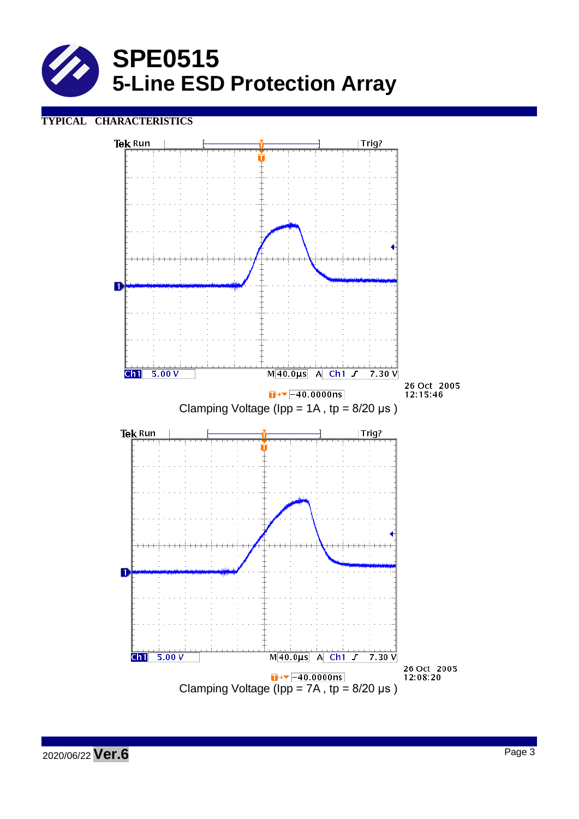

# **TYPICAL CHARACTERISTICS**

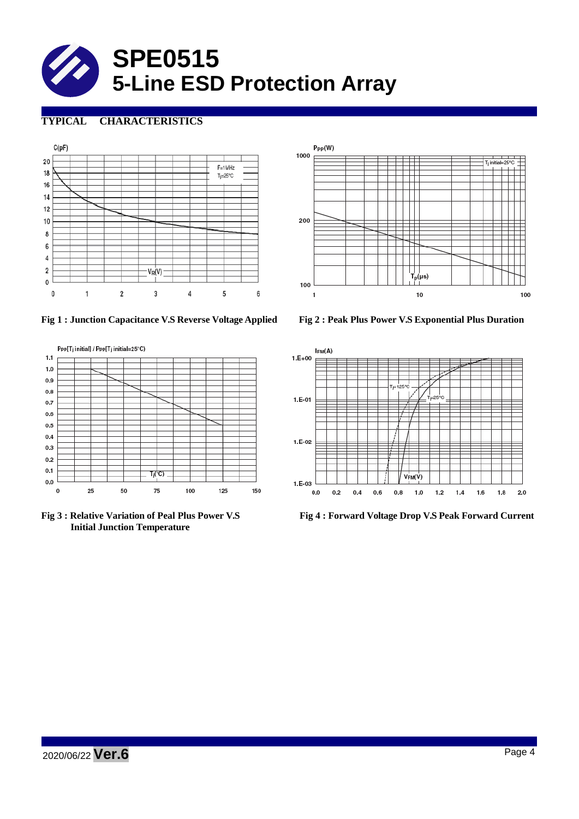

# **TYPICAL CHARACTERISTICS**





**Fig 1 : Junction Capacitance V.S Reverse Voltage Applied Fig 2 : Peak Plus Power V.S Exponential Plus Duration**



**Initial Junction Temperature**



**Fig 3 : Relative Variation of Peal Plus Power V.S Fig 4 : Forward Voltage Drop V.S Peak Forward Current**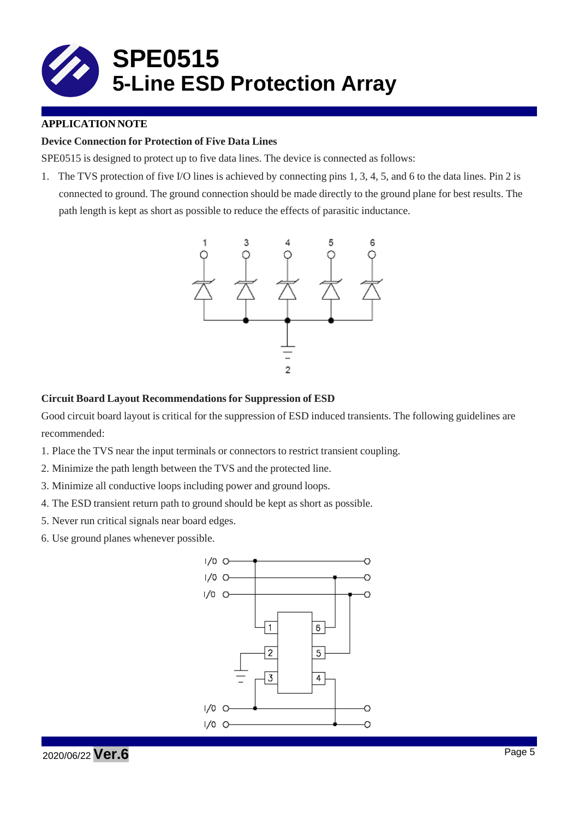

## **APPLICATION NOTE**

## **Device Connection for Protection of Five Data Lines**

SPE0515 is designed to protect up to five data lines. The device is connected as follows:

1. The TVS protection of five I/O lines is achieved by connecting pins 1, 3, 4, 5, and 6 to the data lines. Pin 2 is connected to ground. The ground connection should be made directly to the ground plane for best results. The path length is kept as short as possible to reduce the effects of parasitic inductance.



## **Circuit Board Layout Recommendations for Suppression of ESD**

Good circuit board layout is critical for the suppression of ESD induced transients. The following guidelines are recommended:

- 1. Place the TVS near the input terminals or connectors to restrict transient coupling.
- 2. Minimize the path length between the TVS and the protected line.
- 3. Minimize all conductive loops including power and ground loops.
- 4. The ESD transient return path to ground should be kept as short as possible.
- 5. Never run critical signals near board edges.
- 6. Use ground planes whenever possible.